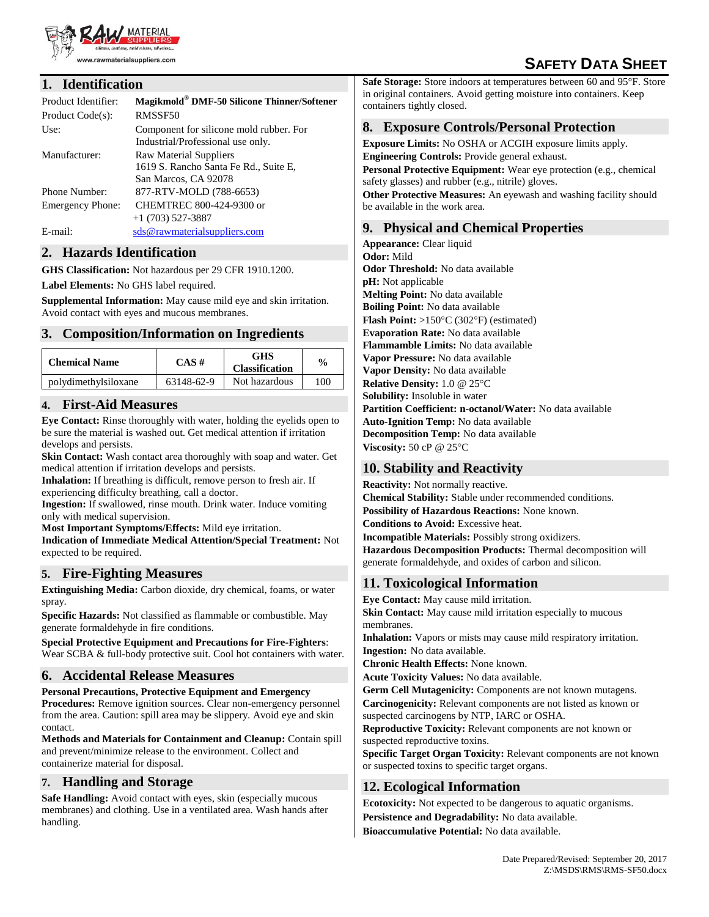

# **SAFETY DATA SHEET**

### **1. Identification**

| Product Identifier:     | Magikmold® DMF-50 Silicone Thinner/Softener                                             |
|-------------------------|-----------------------------------------------------------------------------------------|
| Product Code(s):        | RMSSF50                                                                                 |
| Use:                    | Component for silicone mold rubber. For<br>Industrial/Professional use only.            |
| Manufacturer:           | Raw Material Suppliers<br>1619 S. Rancho Santa Fe Rd., Suite E,<br>San Marcos, CA 92078 |
| Phone Number:           | 877-RTV-MOLD (788-6653)                                                                 |
| <b>Emergency Phone:</b> | CHEMTREC 800-424-9300 or<br>$+1(703)$ 527-3887                                          |
| $E$ -mail:              | sds@rawmaterialsuppliers.com                                                            |

### **2. Hazards Identification**

**GHS Classification:** Not hazardous per 29 CFR 1910.1200.

**Label Elements:** No GHS label required.

**Supplemental Information:** May cause mild eye and skin irritation. Avoid contact with eyes and mucous membranes.

### **3. Composition/Information on Ingredients**

| <b>Chemical Name</b> | $CAS \#$   | GHS<br><b>Classification</b> | $\frac{6}{9}$ |
|----------------------|------------|------------------------------|---------------|
| polydimethylsiloxane | 63148-62-9 | Not hazardous                | 100           |

### **4. First-Aid Measures**

**Eye Contact:** Rinse thoroughly with water, holding the eyelids open to be sure the material is washed out. Get medical attention if irritation develops and persists.

**Skin Contact:** Wash contact area thoroughly with soap and water. Get medical attention if irritation develops and persists.

**Inhalation:** If breathing is difficult, remove person to fresh air. If experiencing difficulty breathing, call a doctor.

**Ingestion:** If swallowed, rinse mouth. Drink water. Induce vomiting only with medical supervision.

**Most Important Symptoms/Effects:** Mild eye irritation.

**Indication of Immediate Medical Attention/Special Treatment:** Not expected to be required.

### **5. Fire-Fighting Measures**

**Extinguishing Media:** Carbon dioxide, dry chemical, foams, or water spray.

**Specific Hazards:** Not classified as flammable or combustible. May generate formaldehyde in fire conditions.

**Special Protective Equipment and Precautions for Fire-Fighters**: Wear SCBA & full-body protective suit. Cool hot containers with water.

# **6. Accidental Release Measures**

**Personal Precautions, Protective Equipment and Emergency Procedures:** Remove ignition sources. Clear non-emergency personnel from the area. Caution: spill area may be slippery. Avoid eye and skin contact.

**Methods and Materials for Containment and Cleanup:** Contain spill and prevent/minimize release to the environment. Collect and containerize material for disposal.

### **7. Handling and Storage**

**Safe Handling:** Avoid contact with eyes, skin (especially mucous) membranes) and clothing. Use in a ventilated area. Wash hands after handling.

**Safe Storage:** Store indoors at temperatures between 60 and 95°F. Store in original containers. Avoid getting moisture into containers. Keep containers tightly closed.

# **8. Exposure Controls/Personal Protection**

**Exposure Limits:** No OSHA or ACGIH exposure limits apply. **Engineering Controls:** Provide general exhaust.

**Personal Protective Equipment:** Wear eye protection (e.g., chemical safety glasses) and rubber (e.g., nitrile) gloves.

**Other Protective Measures:** An eyewash and washing facility should be available in the work area.

### **9. Physical and Chemical Properties**

**Appearance:** Clear liquid **Odor:** Mild **Odor Threshold:** No data available **pH:** Not applicable **Melting Point:** No data available **Boiling Point:** No data available **Flash Point:**  $>150^{\circ}$ C (302 $^{\circ}$ F) (estimated) **Evaporation Rate:** No data available **Flammamble Limits:** No data available **Vapor Pressure:** No data available **Vapor Density:** No data available **Relative Density:** 1.0 @ 25°C **Solubility:** Insoluble in water **Partition Coefficient: n-octanol/Water:** No data available **Auto-Ignition Temp:** No data available **Decomposition Temp:** No data available **Viscosity:** 50 cP @ 25°C

# **10. Stability and Reactivity**

**Reactivity:** Not normally reactive. **Chemical Stability:** Stable under recommended conditions. **Possibility of Hazardous Reactions:** None known. **Conditions to Avoid:** Excessive heat. **Incompatible Materials:** Possibly strong oxidizers. **Hazardous Decomposition Products:** Thermal decomposition will generate formaldehyde, and oxides of carbon and silicon.

### **11. Toxicological Information**

**Eye Contact:** May cause mild irritation.

**Skin Contact:** May cause mild irritation especially to mucous membranes.

**Inhalation:** Vapors or mists may cause mild respiratory irritation. **Ingestion:** No data available.

**Chronic Health Effects:** None known.

**Acute Toxicity Values:** No data available.

**Germ Cell Mutagenicity:** Components are not known mutagens. **Carcinogenicity:** Relevant components are not listed as known or suspected carcinogens by NTP, IARC or OSHA.

**Reproductive Toxicity:** Relevant components are not known or suspected reproductive toxins.

**Specific Target Organ Toxicity:** Relevant components are not known or suspected toxins to specific target organs.

# **12. Ecological Information**

**Ecotoxicity:** Not expected to be dangerous to aquatic organisms. **Persistence and Degradability:** No data available. **Bioaccumulative Potential:** No data available.